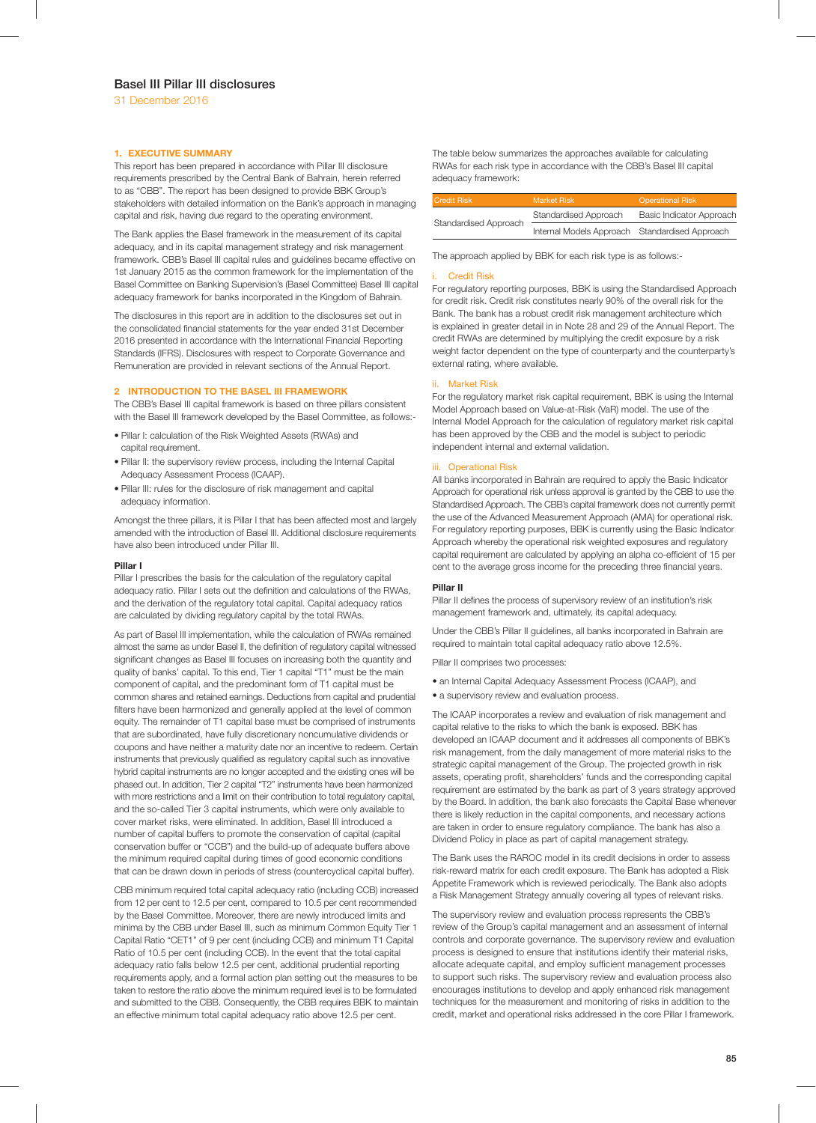## **1. EXECUTIVE SUMMARY**

This report has been prepared in accordance with Pillar III disclosure requirements prescribed by the Central Bank of Bahrain, herein referred to as "CBB". The report has been designed to provide BBK Group's stakeholders with detailed information on the Bank's approach in managing capital and risk, having due regard to the operating environment.

The Bank applies the Basel framework in the measurement of its capital adequacy, and in its capital management strategy and risk management framework. CBB's Basel III capital rules and guidelines became effective on 1st January 2015 as the common framework for the implementation of the Basel Committee on Banking Supervision's (Basel Committee) Basel III capital adequacy framework for banks incorporated in the Kingdom of Bahrain.

The disclosures in this report are in addition to the disclosures set out in the consolidated financial statements for the year ended 31st December 2016 presented in accordance with the International Financial Reporting Standards (IFRS). Disclosures with respect to Corporate Governance and Remuneration are provided in relevant sections of the Annual Report.

#### **2 INTRODUCTION TO THE BASEL III FRAMEWORK**

The CBB's Basel III capital framework is based on three pillars consistent with the Basel III framework developed by the Basel Committee, as follows:-

- Pillar I: calculation of the Risk Weighted Assets (RWAs) and capital requirement.
- Pillar II: the supervisory review process, including the Internal Capital Adequacy Assessment Process (ICAAP).
- Pillar III: rules for the disclosure of risk management and capital adequacy information.

Amongst the three pillars, it is Pillar I that has been affected most and largely amended with the introduction of Basel III. Additional disclosure requirements have also been introduced under Pillar III.

#### **Pillar I**

Pillar I prescribes the basis for the calculation of the regulatory capital adequacy ratio. Pillar I sets out the definition and calculations of the RWAs, and the derivation of the regulatory total capital. Capital adequacy ratios are calculated by dividing regulatory capital by the total RWAs.

As part of Basel III implementation, while the calculation of RWAs remained almost the same as under Basel II, the definition of regulatory capital witnessed significant changes as Basel III focuses on increasing both the quantity and quality of banks' capital. To this end, Tier 1 capital "T1" must be the main component of capital, and the predominant form of T1 capital must be common shares and retained earnings. Deductions from capital and prudential filters have been harmonized and generally applied at the level of common equity. The remainder of T1 capital base must be comprised of instruments that are subordinated, have fully discretionary noncumulative dividends or coupons and have neither a maturity date nor an incentive to redeem. Certain instruments that previously qualified as regulatory capital such as innovative hybrid capital instruments are no longer accepted and the existing ones will be phased out. In addition, Tier 2 capital "T2" instruments have been harmonized with more restrictions and a limit on their contribution to total regulatory capital, and the so-called Tier 3 capital instruments, which were only available to cover market risks, were eliminated. In addition, Basel III introduced a number of capital buffers to promote the conservation of capital (capital conservation buffer or "CCB") and the build-up of adequate buffers above the minimum required capital during times of good economic conditions that can be drawn down in periods of stress (countercyclical capital buffer).

CBB minimum required total capital adequacy ratio (including CCB) increased from 12 per cent to 12.5 per cent, compared to 10.5 per cent recommended by the Basel Committee. Moreover, there are newly introduced limits and minima by the CBB under Basel III, such as minimum Common Equity Tier 1 Capital Ratio "CET1" of 9 per cent (including CCB) and minimum T1 Capital Ratio of 10.5 per cent (including CCB). In the event that the total capital adequacy ratio falls below 12.5 per cent, additional prudential reporting requirements apply, and a formal action plan setting out the measures to be taken to restore the ratio above the minimum required level is to be formulated and submitted to the CBB. Consequently, the CBB requires BBK to maintain an effective minimum total capital adequacy ratio above 12.5 per cent.

The table below summarizes the approaches available for calculating RWAs for each risk type in accordance with the CBB's Basel III capital adequacy framework:

| Credit Risk <sup>1</sup> | Market Risk                                    | <b>Operational Risk</b>  |
|--------------------------|------------------------------------------------|--------------------------|
| Standardised Approach    | Standardised Approach                          | Basic Indicator Approach |
|                          | Internal Models Approach Standardised Approach |                          |

The approach applied by BBK for each risk type is as follows:-

#### Credit Risk

For regulatory reporting purposes, BBK is using the Standardised Approach for credit risk. Credit risk constitutes nearly 90% of the overall risk for the Bank. The bank has a robust credit risk management architecture which is explained in greater detail in in Note 28 and 29 of the Annual Report. The credit RWAs are determined by multiplying the credit exposure by a risk weight factor dependent on the type of counterparty and the counterparty's external rating, where available.

## ii. Market Risk

For the regulatory market risk capital requirement, BBK is using the Internal Model Approach based on Value-at-Risk (VaR) model. The use of the Internal Model Approach for the calculation of regulatory market risk capital has been approved by the CBB and the model is subject to periodic independent internal and external validation.

#### iii. Operational Risk

All banks incorporated in Bahrain are required to apply the Basic Indicator Approach for operational risk unless approval is granted by the CBB to use the Standardised Approach. The CBB's capital framework does not currently permit the use of the Advanced Measurement Approach (AMA) for operational risk. For regulatory reporting purposes, BBK is currently using the Basic Indicator Approach whereby the operational risk weighted exposures and regulatory capital requirement are calculated by applying an alpha co-efficient of 15 per cent to the average gross income for the preceding three financial years.

#### **Pillar II**

Pillar II defines the process of supervisory review of an institution's risk management framework and, ultimately, its capital adequacy.

Under the CBB's Pillar II guidelines, all banks incorporated in Bahrain are required to maintain total capital adequacy ratio above 12.5%.

Pillar II comprises two processes:

- an Internal Capital Adequacy Assessment Process (ICAAP), and
- a supervisory review and evaluation process.

The ICAAP incorporates a review and evaluation of risk management and capital relative to the risks to which the bank is exposed. BBK has developed an ICAAP document and it addresses all components of BBK's risk management, from the daily management of more material risks to the strategic capital management of the Group. The projected growth in risk assets, operating profit, shareholders' funds and the corresponding capital requirement are estimated by the bank as part of 3 years strategy approved by the Board. In addition, the bank also forecasts the Capital Base whenever there is likely reduction in the capital components, and necessary actions are taken in order to ensure regulatory compliance. The bank has also a Dividend Policy in place as part of capital management strategy.

The Bank uses the RAROC model in its credit decisions in order to assess risk-reward matrix for each credit exposure. The Bank has adopted a Risk Appetite Framework which is reviewed periodically. The Bank also adopts a Risk Management Strategy annually covering all types of relevant risks.

The supervisory review and evaluation process represents the CBB's review of the Group's capital management and an assessment of internal controls and corporate governance. The supervisory review and evaluation process is designed to ensure that institutions identify their material risks, allocate adequate capital, and employ sufficient management processes to support such risks. The supervisory review and evaluation process also encourages institutions to develop and apply enhanced risk management techniques for the measurement and monitoring of risks in addition to the credit, market and operational risks addressed in the core Pillar I framework.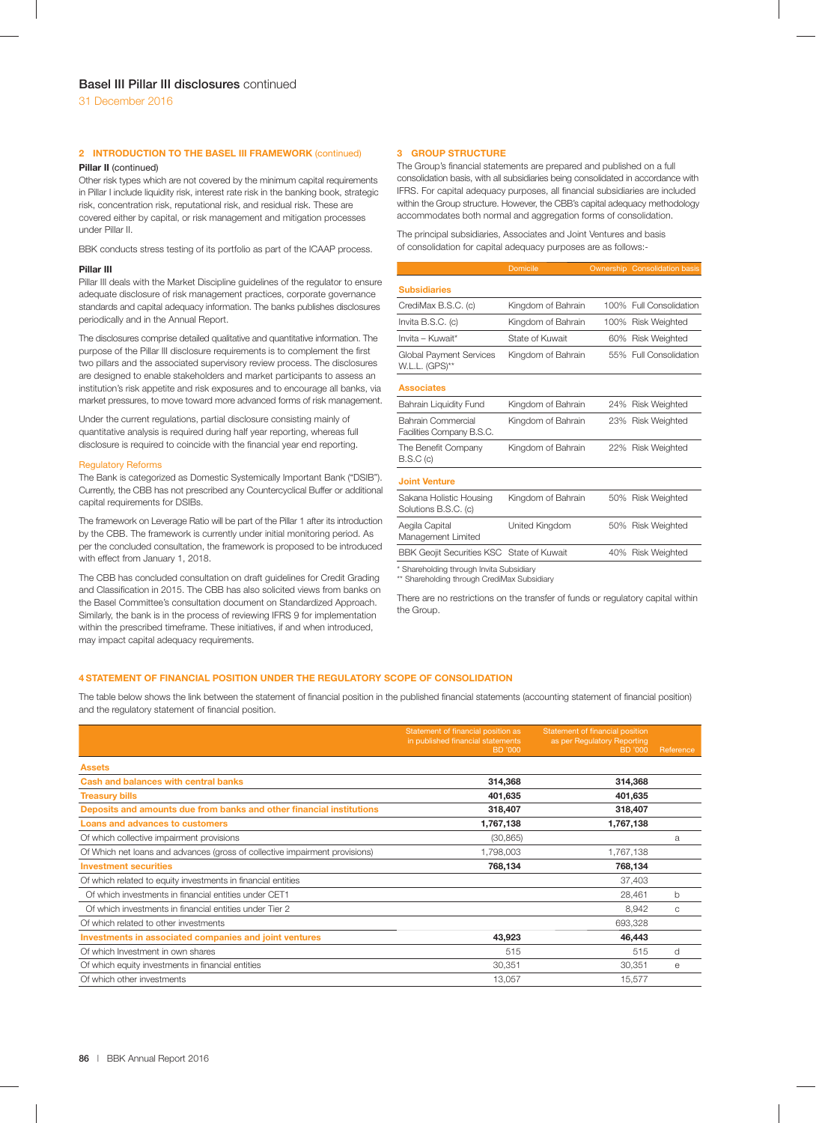# **2 INTRODUCTION TO THE BASEL III FRAMEWORK** (continued)

# **Pillar II** (continued)

Other risk types which are not covered by the minimum capital requirements in Pillar I include liquidity risk, interest rate risk in the banking book, strategic risk, concentration risk, reputational risk, and residual risk. These are covered either by capital, or risk management and mitigation processes under Pillar II.

BBK conducts stress testing of its portfolio as part of the ICAAP process.

#### **Pillar III**

Pillar III deals with the Market Discipline guidelines of the regulator to ensure adequate disclosure of risk management practices, corporate governance standards and capital adequacy information. The banks publishes disclosures periodically and in the Annual Report.

The disclosures comprise detailed qualitative and quantitative information. The purpose of the Pillar III disclosure requirements is to complement the first two pillars and the associated supervisory review process. The disclosures are designed to enable stakeholders and market participants to assess an institution's risk appetite and risk exposures and to encourage all banks, via market pressures, to move toward more advanced forms of risk management.

Under the current regulations, partial disclosure consisting mainly of quantitative analysis is required during half year reporting, whereas full disclosure is required to coincide with the financial year end reporting.

#### Regulatory Reforms

The Bank is categorized as Domestic Systemically Important Bank ("DSIB"). Currently, the CBB has not prescribed any Countercyclical Buffer or additional capital requirements for DSIBs.

The framework on Leverage Ratio will be part of the Pillar 1 after its introduction by the CBB. The framework is currently under initial monitoring period. As per the concluded consultation, the framework is proposed to be introduced with effect from January 1, 2018.

The CBB has concluded consultation on draft guidelines for Credit Grading and Classification in 2015. The CBB has also solicited views from banks on the Basel Committee's consultation document on Standardized Approach. Similarly, the bank is in the process of reviewing IFRS 9 for implementation within the prescribed timeframe. These initiatives, if and when introduced, may impact capital adequacy requirements.

## **3 GROUP STRUCTURE**

The Group's financial statements are prepared and published on a full consolidation basis, with all subsidiaries being consolidated in accordance with IFRS. For capital adequacy purposes, all financial subsidiaries are included within the Group structure. However, the CBB's capital adequacy methodology accommodates both normal and aggregation forms of consolidation.

The principal subsidiaries, Associates and Joint Ventures and basis of consolidation for capital adequacy purposes are as follows:-

|                                                  | <b>Domicile</b>    |     | <b>Ownership Consolidation basis</b> |
|--------------------------------------------------|--------------------|-----|--------------------------------------|
| <b>Subsidiaries</b>                              |                    |     |                                      |
| CrediMax B.S.C. (c)                              | Kingdom of Bahrain |     | 100% Full Consolidation              |
| Invita B.S.C. (c)                                | Kingdom of Bahrain |     | 100% Risk Weighted                   |
| $Invita - Kuwait*$                               | State of Kuwait    |     | 60% Risk Weighted                    |
| <b>Global Payment Services</b><br>W.L.L. (GPS)** | Kingdom of Bahrain |     | 55% Full Consolidation               |
| <b>Associates</b>                                |                    |     |                                      |
| Bahrain Liquidity Fund                           | Kingdom of Bahrain |     | 24% Risk Weighted                    |
| Bahrain Commercial<br>Facilities Company B.S.C.  | Kingdom of Bahrain |     | 23% Risk Weighted                    |
| The Benefit Company<br>B.S.C(c)                  | Kingdom of Bahrain |     | 22% Risk Weighted                    |
| <b>Joint Venture</b>                             |                    |     |                                      |
| Sakana Holistic Housing<br>Solutions B.S.C. (c)  | Kingdom of Bahrain |     | 50% Risk Weighted                    |
| Aegila Capital<br>Management Limited             | United Kingdom     |     | 50% Risk Weighted                    |
| BBK Geojit Securities KSC State of Kuwait        |                    | 40% | <b>Risk Weighted</b>                 |
| * Shareholding through Invita Subsidiary         |                    |     |                                      |

\*\* Shareholding through CrediMax Subsidiary

There are no restrictions on the transfer of funds or regulatory capital within the Group.

# **4 STATEMENT OF FINANCIAL POSITION UNDER THE REGULATORY SCOPE OF CONSOLIDATION**

The table below shows the link between the statement of financial position in the published financial statements (accounting statement of financial position) and the regulatory statement of financial position.

|                                                                             | Statement of financial position as           | Statement of financial position        |           |
|-----------------------------------------------------------------------------|----------------------------------------------|----------------------------------------|-----------|
|                                                                             | in published financial statements<br>BD '000 | as per Regulatory Reporting<br>BD '000 | Reference |
| <b>Assets</b>                                                               |                                              |                                        |           |
| <b>Cash and balances with central banks</b>                                 | 314,368                                      | 314,368                                |           |
| <b>Treasury bills</b>                                                       | 401,635                                      | 401,635                                |           |
| Deposits and amounts due from banks and other financial institutions        | 318,407                                      | 318,407                                |           |
| Loans and advances to customers                                             | 1,767,138                                    | 1,767,138                              |           |
| Of which collective impairment provisions                                   | (30, 865)                                    |                                        | a         |
| Of Which net loans and advances (gross of collective impairment provisions) | 1,798,003                                    | 1,767,138                              |           |
| <b>Investment securities</b>                                                | 768,134                                      | 768,134                                |           |
| Of which related to equity investments in financial entities                |                                              | 37,403                                 |           |
| Of which investments in financial entities under CET1                       |                                              | 28,461                                 | b         |
| Of which investments in financial entities under Tier 2                     |                                              | 8,942                                  | C         |
| Of which related to other investments                                       |                                              | 693,328                                |           |
| Investments in associated companies and joint ventures                      | 43,923                                       | 46,443                                 |           |
| Of which Investment in own shares                                           | 515                                          | 515                                    | d         |
| Of which equity investments in financial entities                           | 30,351                                       | 30,351                                 | е         |
| Of which other investments                                                  | 13,057                                       | 15,577                                 |           |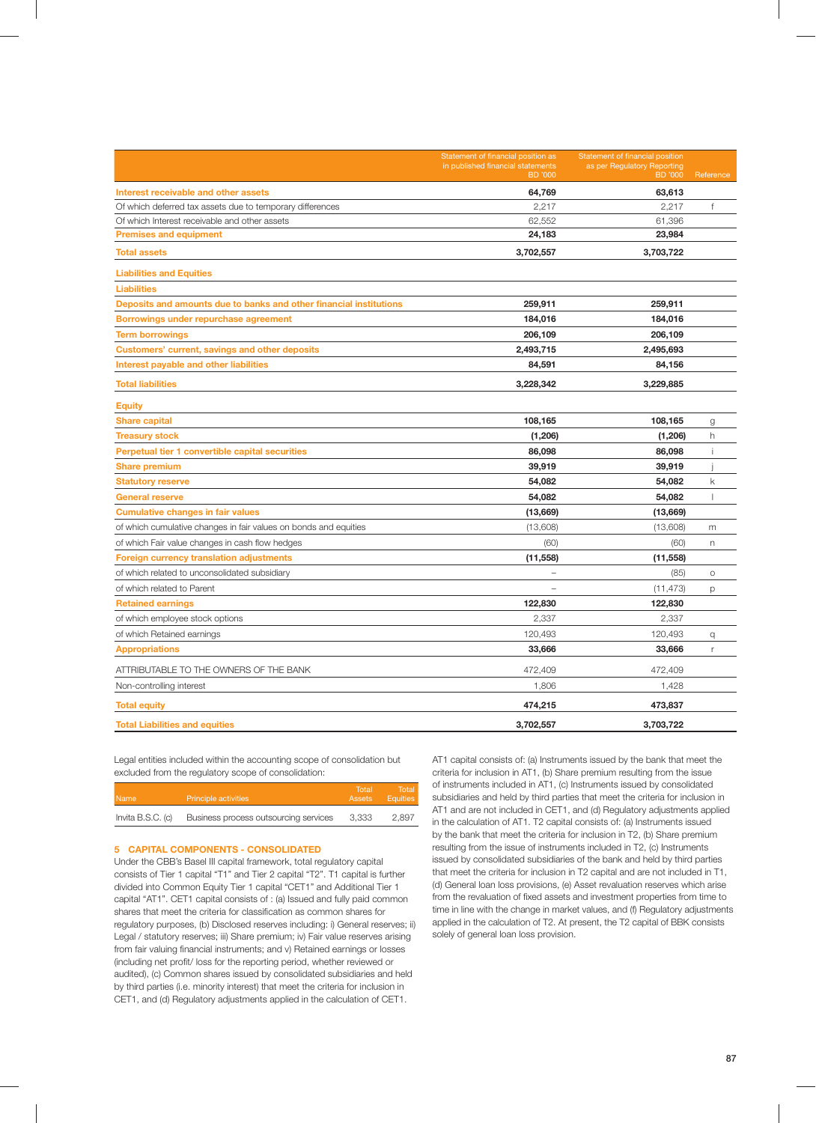|                                                                    | Statement of financial position as<br>in published financial statements<br><b>BD</b> '000 | Statement of financial position<br>as per Regulatory Reporting<br><b>BD</b> '000 | Reference    |
|--------------------------------------------------------------------|-------------------------------------------------------------------------------------------|----------------------------------------------------------------------------------|--------------|
| Interest receivable and other assets                               | 64,769                                                                                    | 63,613                                                                           |              |
| Of which deferred tax assets due to temporary differences          | 2,217                                                                                     | 2,217                                                                            | f            |
| Of which Interest receivable and other assets                      | 62,552                                                                                    | 61,396                                                                           |              |
| <b>Premises and equipment</b>                                      | 24,183                                                                                    | 23,984                                                                           |              |
| <b>Total assets</b>                                                | 3,702,557                                                                                 | 3,703,722                                                                        |              |
| <b>Liabilities and Equities</b>                                    |                                                                                           |                                                                                  |              |
| <b>Liabilities</b>                                                 |                                                                                           |                                                                                  |              |
| Deposits and amounts due to banks and other financial institutions | 259,911                                                                                   | 259,911                                                                          |              |
| Borrowings under repurchase agreement                              | 184,016                                                                                   | 184,016                                                                          |              |
| <b>Term borrowings</b>                                             | 206,109                                                                                   | 206,109                                                                          |              |
| Customers' current, savings and other deposits                     | 2,493,715                                                                                 | 2,495,693                                                                        |              |
| Interest payable and other liabilities                             | 84,591                                                                                    | 84,156                                                                           |              |
| <b>Total liabilities</b>                                           | 3,228,342                                                                                 | 3,229,885                                                                        |              |
| <b>Equity</b>                                                      |                                                                                           |                                                                                  |              |
| <b>Share capital</b>                                               | 108,165                                                                                   | 108,165                                                                          | g            |
| <b>Treasury stock</b>                                              | (1,206)                                                                                   | (1,206)                                                                          | h            |
| Perpetual tier 1 convertible capital securities                    | 86,098                                                                                    | 86,098                                                                           | -i           |
| <b>Share premium</b>                                               | 39,919                                                                                    | 39,919                                                                           |              |
| <b>Statutory reserve</b>                                           | 54,082                                                                                    | 54,082                                                                           | $\mathsf{k}$ |
| <b>General reserve</b>                                             | 54,082                                                                                    | 54,082                                                                           |              |
| <b>Cumulative changes in fair values</b>                           | (13,669)                                                                                  | (13,669)                                                                         |              |
| of which cumulative changes in fair values on bonds and equities   | (13,608)                                                                                  | (13,608)                                                                         | m            |
| of which Fair value changes in cash flow hedges                    | (60)                                                                                      | (60)                                                                             | n.           |
| <b>Foreign currency translation adjustments</b>                    | (11, 558)                                                                                 | (11, 558)                                                                        |              |
| of which related to unconsolidated subsidiary                      | ÷,                                                                                        | (85)                                                                             | $\circ$      |
| of which related to Parent                                         |                                                                                           | (11, 473)                                                                        | p            |
| <b>Retained earnings</b>                                           | 122,830                                                                                   | 122,830                                                                          |              |
| of which employee stock options                                    | 2,337                                                                                     | 2,337                                                                            |              |
| of which Retained earnings                                         | 120,493                                                                                   | 120,493                                                                          | q            |
| <b>Appropriations</b>                                              | 33,666                                                                                    | 33,666                                                                           | r            |
| ATTRIBUTABLE TO THE OWNERS OF THE BANK                             | 472,409                                                                                   | 472,409                                                                          |              |
| Non-controlling interest                                           | 1,806                                                                                     | 1,428                                                                            |              |
| <b>Total equity</b>                                                | 474,215                                                                                   | 473,837                                                                          |              |
| <b>Total Liabilities and equities</b>                              | 3,702,557                                                                                 | 3,703,722                                                                        |              |

Legal entities included within the accounting scope of consolidation but excluded from the regulatory scope of consolidation:

| Name                | Principle activities                  | Total<br>Assets | Total I<br><b>Equities</b> |
|---------------------|---------------------------------------|-----------------|----------------------------|
| Invita $B.S.C.$ (c) | Business process outsourcing services | 3.333           | 2.897                      |

## **5 CAPITAL COMPONENTS - CONSOLIDATED**

Under the CBB's Basel III capital framework, total regulatory capital consists of Tier 1 capital "T1" and Tier 2 capital "T2". T1 capital is further divided into Common Equity Tier 1 capital "CET1" and Additional Tier 1 capital "AT1". CET1 capital consists of : (a) Issued and fully paid common shares that meet the criteria for classification as common shares for regulatory purposes, (b) Disclosed reserves including: i) General reserves; ii) Legal / statutory reserves; iii) Share premium; iv) Fair value reserves arising from fair valuing financial instruments; and v) Retained earnings or losses (including net profit/ loss for the reporting period, whether reviewed or audited), (c) Common shares issued by consolidated subsidiaries and held by third parties (i.e. minority interest) that meet the criteria for inclusion in CET1, and (d) Regulatory adjustments applied in the calculation of CET1.

AT1 capital consists of: (a) Instruments issued by the bank that meet the criteria for inclusion in AT1, (b) Share premium resulting from the issue of instruments included in AT1, (c) Instruments issued by consolidated subsidiaries and held by third parties that meet the criteria for inclusion in AT1 and are not included in CET1, and (d) Regulatory adjustments applied in the calculation of AT1. T2 capital consists of: (a) Instruments issued by the bank that meet the criteria for inclusion in T2, (b) Share premium resulting from the issue of instruments included in T2, (c) Instruments issued by consolidated subsidiaries of the bank and held by third parties that meet the criteria for inclusion in T2 capital and are not included in T1, (d) General loan loss provisions, (e) Asset revaluation reserves which arise from the revaluation of fixed assets and investment properties from time to time in line with the change in market values, and (f) Regulatory adjustments applied in the calculation of T2. At present, the T2 capital of BBK consists solely of general loan loss provision.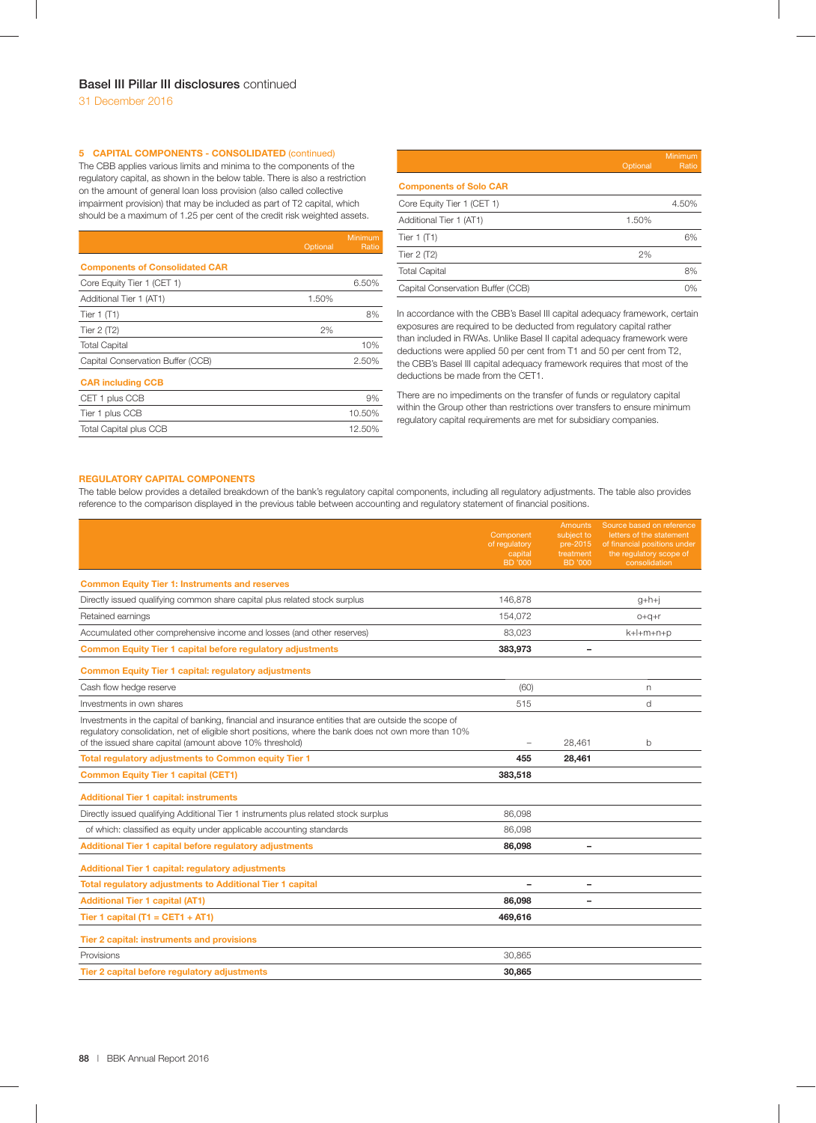# **5 CAPITAL COMPONENTS - CONSOLIDATED** (continued)

The CBB applies various limits and minima to the components of the regulatory capital, as shown in the below table. There is also a restriction on the amount of general loan loss provision (also called collective impairment provision) that may be included as part of T2 capital, which should be a maximum of 1.25 per cent of the credit risk weighted assets.

|                                       | Optional | Minimum<br>Ratio |
|---------------------------------------|----------|------------------|
| <b>Components of Consolidated CAR</b> |          |                  |
| Core Equity Tier 1 (CET 1)            |          | 6.50%            |
| Additional Tier 1 (AT1)               | 1.50%    |                  |
| Tier $1(T1)$                          |          | 8%               |
| Tier $2(T2)$                          | 2%       |                  |
| <b>Total Capital</b>                  |          | 10%              |
| Capital Conservation Buffer (CCB)     |          | 2.50%            |
| <b>CAR including CCB</b>              |          |                  |
| CET 1 plus CCB                        |          | 9%               |
| Tier 1 plus CCB                       |          | 10.50%           |
| <b>Total Capital plus CCB</b>         |          | 12.50%           |

|                                   | Optional | Minimum<br>Ratio |
|-----------------------------------|----------|------------------|
| <b>Components of Solo CAR</b>     |          |                  |
| Core Equity Tier 1 (CET 1)        |          | 4.50%            |
| Additional Tier 1 (AT1)           | 1.50%    |                  |
| Tier $1$ (T1)                     |          | 6%               |
| Tier $2(T2)$                      | 2%       |                  |
| <b>Total Capital</b>              |          | 8%               |
| Capital Conservation Buffer (CCB) |          | 0%               |
|                                   |          |                  |

In accordance with the CBB's Basel III capital adequacy framework, certain exposures are required to be deducted from regulatory capital rather than included in RWAs. Unlike Basel II capital adequacy framework were deductions were applied 50 per cent from T1 and 50 per cent from T2, the CBB's Basel III capital adequacy framework requires that most of the deductions be made from the CET1.

There are no impediments on the transfer of funds or regulatory capital within the Group other than restrictions over transfers to ensure minimum regulatory capital requirements are met for subsidiary companies.

#### **REGULATORY CAPITAL COMPONENTS**

The table below provides a detailed breakdown of the bank's regulatory capital components, including all regulatory adjustments. The table also provides reference to the comparison displayed in the previous table between accounting and regulatory statement of financial positions.

|                                                                                                                                                                                                                                                                           | Component<br>of regulatory<br>capital<br><b>BD</b> '000 | <b>Amounts</b><br>subject to<br>pre-2015<br>treatment<br>BD '000 | Source based on reference<br>letters of the statement<br>of financial positions under<br>the regulatory scope of<br>consolidation |
|---------------------------------------------------------------------------------------------------------------------------------------------------------------------------------------------------------------------------------------------------------------------------|---------------------------------------------------------|------------------------------------------------------------------|-----------------------------------------------------------------------------------------------------------------------------------|
| <b>Common Equity Tier 1: Instruments and reserves</b>                                                                                                                                                                                                                     |                                                         |                                                                  |                                                                                                                                   |
| Directly issued qualifying common share capital plus related stock surplus                                                                                                                                                                                                | 146.878                                                 |                                                                  | $g+h+j$                                                                                                                           |
| Retained earnings                                                                                                                                                                                                                                                         | 154,072                                                 |                                                                  | $O+Q+r$                                                                                                                           |
| Accumulated other comprehensive income and losses (and other reserves)                                                                                                                                                                                                    | 83,023                                                  |                                                                  | k+l+m+n+p                                                                                                                         |
| <b>Common Equity Tier 1 capital before regulatory adjustments</b>                                                                                                                                                                                                         | 383,973                                                 |                                                                  |                                                                                                                                   |
| <b>Common Equity Tier 1 capital: regulatory adjustments</b>                                                                                                                                                                                                               |                                                         |                                                                  |                                                                                                                                   |
| Cash flow hedge reserve                                                                                                                                                                                                                                                   | (60)                                                    |                                                                  | n                                                                                                                                 |
| Investments in own shares                                                                                                                                                                                                                                                 | 515                                                     |                                                                  | d                                                                                                                                 |
| Investments in the capital of banking, financial and insurance entities that are outside the scope of<br>requlatory consolidation, net of eligible short positions, where the bank does not own more than 10%<br>of the issued share capital (amount above 10% threshold) |                                                         | 28,461                                                           | b                                                                                                                                 |
| Total regulatory adjustments to Common equity Tier 1                                                                                                                                                                                                                      | 455                                                     | 28,461                                                           |                                                                                                                                   |
| <b>Common Equity Tier 1 capital (CET1)</b>                                                                                                                                                                                                                                | 383,518                                                 |                                                                  |                                                                                                                                   |
| <b>Additional Tier 1 capital: instruments</b>                                                                                                                                                                                                                             |                                                         |                                                                  |                                                                                                                                   |
| Directly issued qualifying Additional Tier 1 instruments plus related stock surplus                                                                                                                                                                                       | 86,098                                                  |                                                                  |                                                                                                                                   |
| of which: classified as equity under applicable accounting standards                                                                                                                                                                                                      | 86.098                                                  |                                                                  |                                                                                                                                   |
| Additional Tier 1 capital before regulatory adjustments                                                                                                                                                                                                                   | 86,098                                                  |                                                                  |                                                                                                                                   |
| <b>Additional Tier 1 capital: regulatory adjustments</b>                                                                                                                                                                                                                  |                                                         |                                                                  |                                                                                                                                   |
| Total regulatory adjustments to Additional Tier 1 capital                                                                                                                                                                                                                 |                                                         |                                                                  |                                                                                                                                   |
| <b>Additional Tier 1 capital (AT1)</b>                                                                                                                                                                                                                                    | 86,098                                                  |                                                                  |                                                                                                                                   |
| Tier 1 capital $(T1 = CET1 + AT1)$                                                                                                                                                                                                                                        | 469,616                                                 |                                                                  |                                                                                                                                   |
| Tier 2 capital: instruments and provisions                                                                                                                                                                                                                                |                                                         |                                                                  |                                                                                                                                   |
| Provisions                                                                                                                                                                                                                                                                | 30,865                                                  |                                                                  |                                                                                                                                   |
| Tier 2 capital before regulatory adjustments                                                                                                                                                                                                                              | 30,865                                                  |                                                                  |                                                                                                                                   |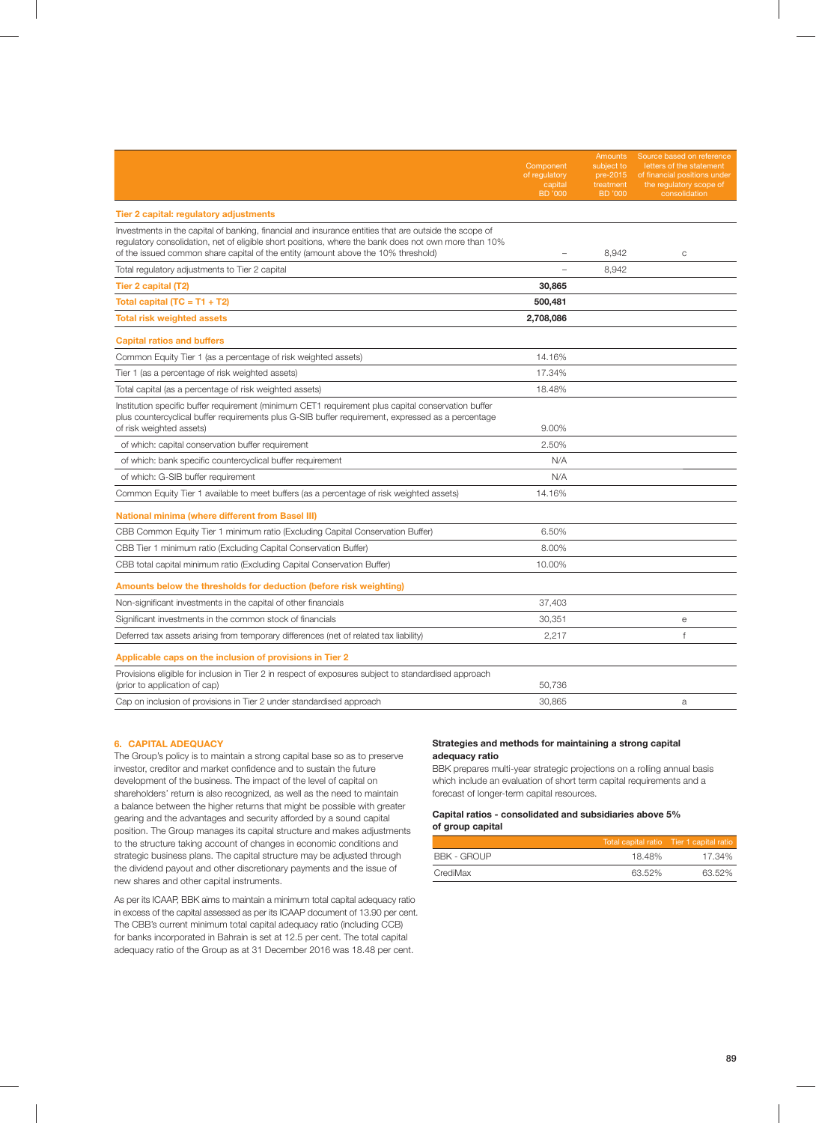|                                                                                                                                                                                                                                                                                                    | Component<br>of regulatory<br>capital<br><b>BD</b> '000 | Amounts<br>subject to<br>pre-2015<br>treatment<br><b>BD</b> '000 | Source based on reference<br>letters of the statement<br>of financial positions under<br>the regulatory scope of<br>consolidation |
|----------------------------------------------------------------------------------------------------------------------------------------------------------------------------------------------------------------------------------------------------------------------------------------------------|---------------------------------------------------------|------------------------------------------------------------------|-----------------------------------------------------------------------------------------------------------------------------------|
| Tier 2 capital: regulatory adjustments                                                                                                                                                                                                                                                             |                                                         |                                                                  |                                                                                                                                   |
| Investments in the capital of banking, financial and insurance entities that are outside the scope of<br>regulatory consolidation, net of eligible short positions, where the bank does not own more than 10%<br>of the issued common share capital of the entity (amount above the 10% threshold) |                                                         | 8,942                                                            | C                                                                                                                                 |
| Total regulatory adjustments to Tier 2 capital                                                                                                                                                                                                                                                     | $\overline{\phantom{0}}$                                | 8,942                                                            |                                                                                                                                   |
| Tier 2 capital (T2)                                                                                                                                                                                                                                                                                | 30,865                                                  |                                                                  |                                                                                                                                   |
| Total capital $(TC = T1 + T2)$                                                                                                                                                                                                                                                                     | 500,481                                                 |                                                                  |                                                                                                                                   |
| <b>Total risk weighted assets</b>                                                                                                                                                                                                                                                                  | 2,708,086                                               |                                                                  |                                                                                                                                   |
| <b>Capital ratios and buffers</b>                                                                                                                                                                                                                                                                  |                                                         |                                                                  |                                                                                                                                   |
| Common Equity Tier 1 (as a percentage of risk weighted assets)                                                                                                                                                                                                                                     | 14.16%                                                  |                                                                  |                                                                                                                                   |
| Tier 1 (as a percentage of risk weighted assets)                                                                                                                                                                                                                                                   | 17.34%                                                  |                                                                  |                                                                                                                                   |
| Total capital (as a percentage of risk weighted assets)                                                                                                                                                                                                                                            | 18.48%                                                  |                                                                  |                                                                                                                                   |
| Institution specific buffer requirement (minimum CET1 requirement plus capital conservation buffer<br>plus countercyclical buffer requirements plus G-SIB buffer requirement, expressed as a percentage<br>of risk weighted assets)                                                                | 9.00%                                                   |                                                                  |                                                                                                                                   |
| of which: capital conservation buffer requirement                                                                                                                                                                                                                                                  | 2.50%                                                   |                                                                  |                                                                                                                                   |
| of which: bank specific countercyclical buffer requirement                                                                                                                                                                                                                                         | N/A                                                     |                                                                  |                                                                                                                                   |
| of which: G-SIB buffer requirement                                                                                                                                                                                                                                                                 | N/A                                                     |                                                                  |                                                                                                                                   |
| Common Equity Tier 1 available to meet buffers (as a percentage of risk weighted assets)                                                                                                                                                                                                           | 14.16%                                                  |                                                                  |                                                                                                                                   |
| <b>National minima (where different from Basel III)</b>                                                                                                                                                                                                                                            |                                                         |                                                                  |                                                                                                                                   |
| CBB Common Equity Tier 1 minimum ratio (Excluding Capital Conservation Buffer)                                                                                                                                                                                                                     | 6.50%                                                   |                                                                  |                                                                                                                                   |
| CBB Tier 1 minimum ratio (Excluding Capital Conservation Buffer)                                                                                                                                                                                                                                   | 8.00%                                                   |                                                                  |                                                                                                                                   |
| CBB total capital minimum ratio (Excluding Capital Conservation Buffer)                                                                                                                                                                                                                            | 10.00%                                                  |                                                                  |                                                                                                                                   |
| Amounts below the thresholds for deduction (before risk weighting)                                                                                                                                                                                                                                 |                                                         |                                                                  |                                                                                                                                   |
| Non-significant investments in the capital of other financials                                                                                                                                                                                                                                     | 37,403                                                  |                                                                  |                                                                                                                                   |
| Significant investments in the common stock of financials                                                                                                                                                                                                                                          | 30.351                                                  |                                                                  | $\mathsf{e}$                                                                                                                      |
| Deferred tax assets arising from temporary differences (net of related tax liability)                                                                                                                                                                                                              | 2,217                                                   |                                                                  | $\mathsf{f}$                                                                                                                      |
| Applicable caps on the inclusion of provisions in Tier 2                                                                                                                                                                                                                                           |                                                         |                                                                  |                                                                                                                                   |
| Provisions eligible for inclusion in Tier 2 in respect of exposures subject to standardised approach<br>(prior to application of cap)                                                                                                                                                              | 50.736                                                  |                                                                  |                                                                                                                                   |
| Cap on inclusion of provisions in Tier 2 under standardised approach                                                                                                                                                                                                                               | 30.865                                                  |                                                                  | a                                                                                                                                 |

## **6. CAPITAL ADEQUACY**

The Group's policy is to maintain a strong capital base so as to preserve investor, creditor and market confidence and to sustain the future development of the business. The impact of the level of capital on shareholders' return is also recognized, as well as the need to maintain a balance between the higher returns that might be possible with greater gearing and the advantages and security afforded by a sound capital position. The Group manages its capital structure and makes adjustments to the structure taking account of changes in economic conditions and strategic business plans. The capital structure may be adjusted through the dividend payout and other discretionary payments and the issue of new shares and other capital instruments.

As per its ICAAP, BBK aims to maintain a minimum total capital adequacy ratio in excess of the capital assessed as per its ICAAP document of 13.90 per cent. The CBB's current minimum total capital adequacy ratio (including CCB) for banks incorporated in Bahrain is set at 12.5 per cent. The total capital adequacy ratio of the Group as at 31 December 2016 was 18.48 per cent.

## **Strategies and methods for maintaining a strong capital adequacy ratio**

BBK prepares multi-year strategic projections on a rolling annual basis which include an evaluation of short term capital requirements and a forecast of longer-term capital resources.

## **Capital ratios - consolidated and subsidiaries above 5% of group capital**

|             |        | Total capital ratio Tier 1 capital ratio |
|-------------|--------|------------------------------------------|
| BBK - GROUP | 18.48% | 17.34%                                   |
| CrediMax    | 63.52% | 63.52%                                   |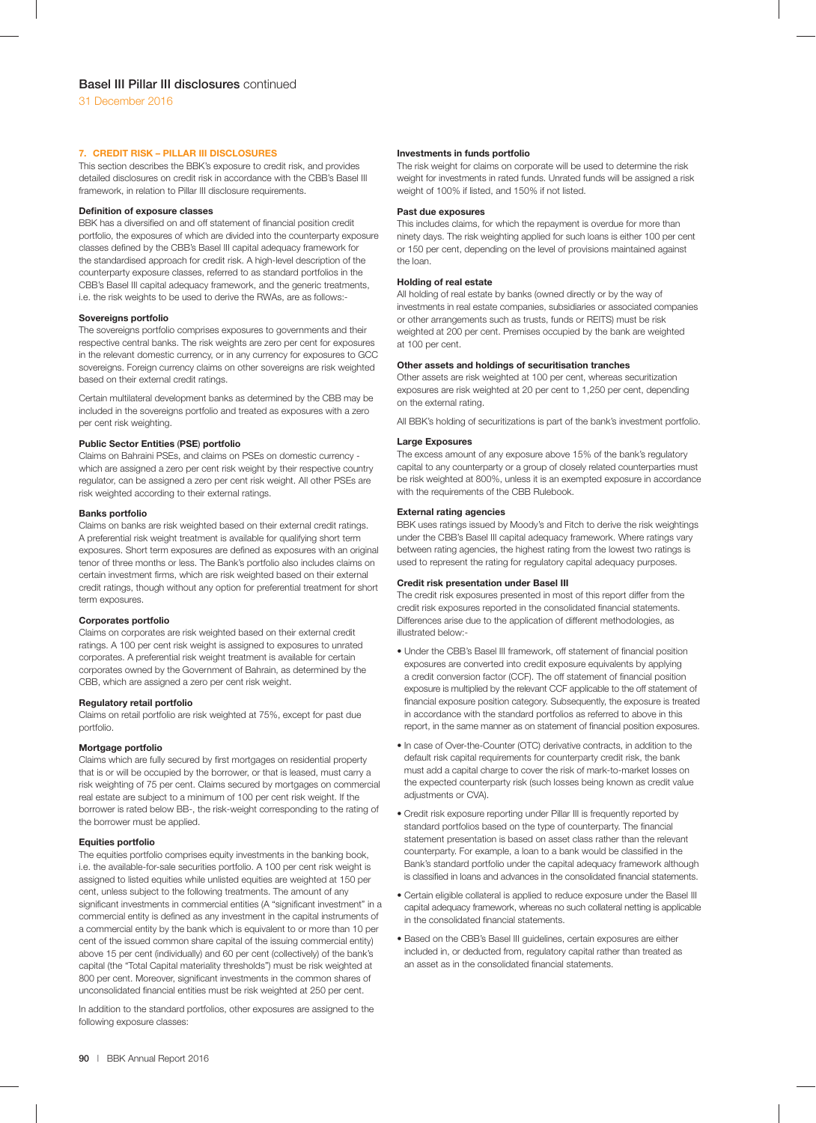#### **7. CREDIT RISK – PILLAR III DISCLOSURES**

This section describes the BBK's exposure to credit risk, and provides detailed disclosures on credit risk in accordance with the CBB's Basel III framework, in relation to Pillar III disclosure requirements.

#### **Definition of exposure classes**

BBK has a diversified on and off statement of financial position credit portfolio, the exposures of which are divided into the counterparty exposure classes defined by the CBB's Basel III capital adequacy framework for the standardised approach for credit risk. A high-level description of the counterparty exposure classes, referred to as standard portfolios in the CBB's Basel III capital adequacy framework, and the generic treatments, i.e. the risk weights to be used to derive the RWAs, are as follows:-

#### **Sovereigns portfolio**

The sovereigns portfolio comprises exposures to governments and their respective central banks. The risk weights are zero per cent for exposures in the relevant domestic currency, or in any currency for exposures to GCC sovereigns. Foreign currency claims on other sovereigns are risk weighted based on their external credit ratings.

Certain multilateral development banks as determined by the CBB may be included in the sovereigns portfolio and treated as exposures with a zero per cent risk weighting.

## **Public Sector Entities** (**PSE**) **portfolio**

Claims on Bahraini PSEs, and claims on PSEs on domestic currency which are assigned a zero per cent risk weight by their respective country regulator, can be assigned a zero per cent risk weight. All other PSEs are risk weighted according to their external ratings.

#### **Banks portfolio**

Claims on banks are risk weighted based on their external credit ratings. A preferential risk weight treatment is available for qualifying short term exposures. Short term exposures are defined as exposures with an original tenor of three months or less. The Bank's portfolio also includes claims on certain investment firms, which are risk weighted based on their external credit ratings, though without any option for preferential treatment for short term exposures.

#### **Corporates portfolio**

Claims on corporates are risk weighted based on their external credit ratings. A 100 per cent risk weight is assigned to exposures to unrated corporates. A preferential risk weight treatment is available for certain corporates owned by the Government of Bahrain, as determined by the CBB, which are assigned a zero per cent risk weight.

#### **Regulatory retail portfolio**

Claims on retail portfolio are risk weighted at 75%, except for past due portfolio.

## **Mortgage portfolio**

Claims which are fully secured by first mortgages on residential property that is or will be occupied by the borrower, or that is leased, must carry a risk weighting of 75 per cent. Claims secured by mortgages on commercial real estate are subject to a minimum of 100 per cent risk weight. If the borrower is rated below BB-, the risk-weight corresponding to the rating of the borrower must be applied.

## **Equities portfolio**

The equities portfolio comprises equity investments in the banking book, i.e. the available-for-sale securities portfolio. A 100 per cent risk weight is assigned to listed equities while unlisted equities are weighted at 150 per cent, unless subject to the following treatments. The amount of any significant investments in commercial entities (A "significant investment" in a commercial entity is defined as any investment in the capital instruments of a commercial entity by the bank which is equivalent to or more than 10 per cent of the issued common share capital of the issuing commercial entity) above 15 per cent (individually) and 60 per cent (collectively) of the bank's capital (the "Total Capital materiality thresholds") must be risk weighted at 800 per cent. Moreover, significant investments in the common shares of unconsolidated financial entities must be risk weighted at 250 per cent.

In addition to the standard portfolios, other exposures are assigned to the following exposure classes:

#### **Investments in funds portfolio**

The risk weight for claims on corporate will be used to determine the risk weight for investments in rated funds. Unrated funds will be assigned a risk weight of 100% if listed, and 150% if not listed.

#### **Past due exposures**

This includes claims, for which the repayment is overdue for more than ninety days. The risk weighting applied for such loans is either 100 per cent or 150 per cent, depending on the level of provisions maintained against the loan.

## **Holding of real estate**

All holding of real estate by banks (owned directly or by the way of investments in real estate companies, subsidiaries or associated companies or other arrangements such as trusts, funds or REITS) must be risk weighted at 200 per cent. Premises occupied by the bank are weighted at 100 per cent.

#### **Other assets and holdings of securitisation tranches**

Other assets are risk weighted at 100 per cent, whereas securitization exposures are risk weighted at 20 per cent to 1,250 per cent, depending on the external rating.

All BBK's holding of securitizations is part of the bank's investment portfolio.

#### **Large Exposures**

The excess amount of any exposure above 15% of the bank's regulatory capital to any counterparty or a group of closely related counterparties must be risk weighted at 800%, unless it is an exempted exposure in accordance with the requirements of the CBB Rulebook.

## **External rating agencies**

BBK uses ratings issued by Moody's and Fitch to derive the risk weightings under the CBB's Basel III capital adequacy framework. Where ratings vary between rating agencies, the highest rating from the lowest two ratings is used to represent the rating for regulatory capital adequacy purposes.

#### **Credit risk presentation under Basel III**

The credit risk exposures presented in most of this report differ from the credit risk exposures reported in the consolidated financial statements. Differences arise due to the application of different methodologies, as illustrated below:-

- Under the CBB's Basel III framework, off statement of financial position exposures are converted into credit exposure equivalents by applying a credit conversion factor (CCF). The off statement of financial position exposure is multiplied by the relevant CCF applicable to the off statement of financial exposure position category. Subsequently, the exposure is treated in accordance with the standard portfolios as referred to above in this report, in the same manner as on statement of financial position exposures.
- In case of Over-the-Counter (OTC) derivative contracts, in addition to the default risk capital requirements for counterparty credit risk, the bank must add a capital charge to cover the risk of mark-to-market losses on the expected counterparty risk (such losses being known as credit value adiustments or CVA).
- Credit risk exposure reporting under Pillar III is frequently reported by standard portfolios based on the type of counterparty. The financial statement presentation is based on asset class rather than the relevant counterparty. For example, a loan to a bank would be classified in the Bank's standard portfolio under the capital adequacy framework although is classified in loans and advances in the consolidated financial statements.
- Certain eligible collateral is applied to reduce exposure under the Basel III capital adequacy framework, whereas no such collateral netting is applicable in the consolidated financial statements.
- Based on the CBB's Basel III guidelines, certain exposures are either included in, or deducted from, regulatory capital rather than treated as an asset as in the consolidated financial statements.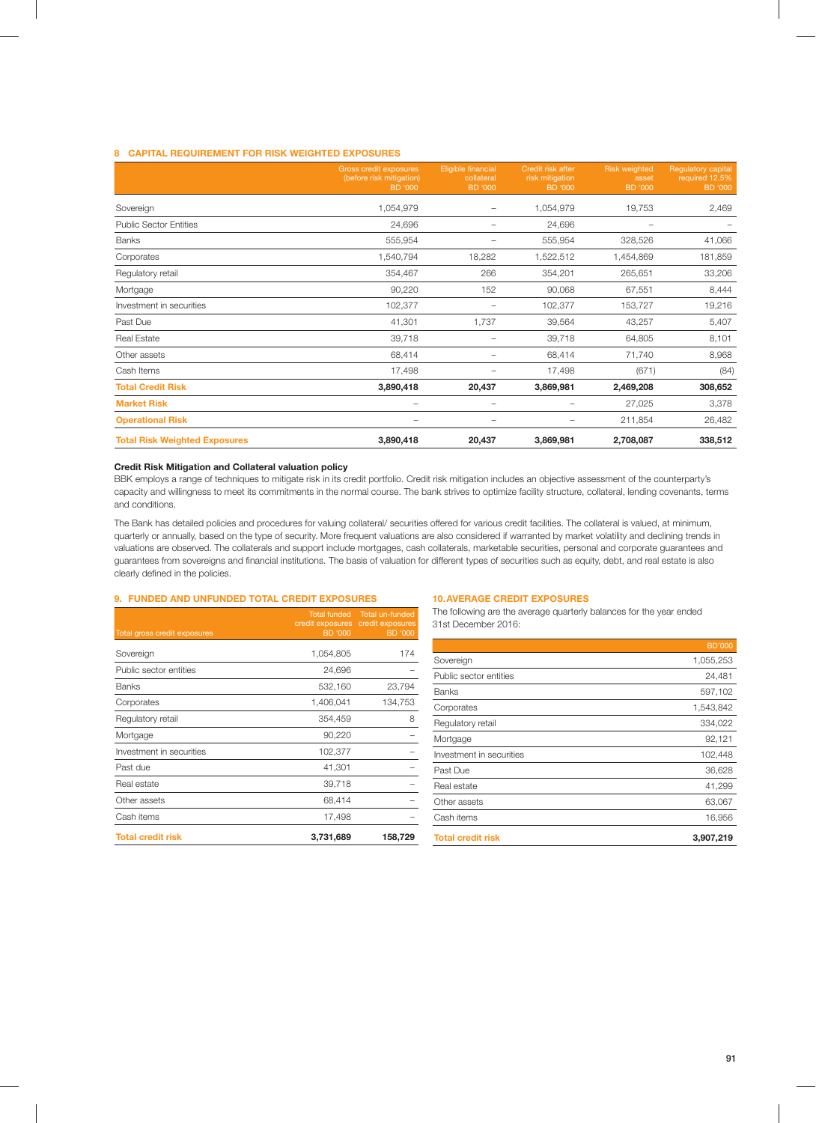# **8 CAPITAL REQUIREMENT FOR RISK WEIGHTED EXPOSURES**

|                                      | <b>Gross credit exposures</b><br>(before risk mitigation)<br>BD '000 | Eligible financial<br>collateral<br><b>BD '000</b> | Credit risk after<br>risk mitigation<br><b>BD</b> '000 | <b>Risk weighted</b><br>asset<br><b>BD '000</b> | <b>Requlatory capital</b><br>required 12.5%<br><b>BD</b> '000 |
|--------------------------------------|----------------------------------------------------------------------|----------------------------------------------------|--------------------------------------------------------|-------------------------------------------------|---------------------------------------------------------------|
| Sovereign                            | 1,054,979                                                            | -                                                  | 1,054,979                                              | 19,753                                          | 2,469                                                         |
| <b>Public Sector Entities</b>        | 24,696                                                               |                                                    | 24,696                                                 | $\overline{\phantom{0}}$                        |                                                               |
| <b>Banks</b>                         | 555,954                                                              |                                                    | 555,954                                                | 328,526                                         | 41,066                                                        |
| Corporates                           | 1,540,794                                                            | 18,282                                             | 1,522,512                                              | 1,454,869                                       | 181,859                                                       |
| Regulatory retail                    | 354,467                                                              | 266                                                | 354,201                                                | 265,651                                         | 33,206                                                        |
| Mortgage                             | 90,220                                                               | 152                                                | 90,068                                                 | 67,551                                          | 8,444                                                         |
| Investment in securities             | 102,377                                                              |                                                    | 102,377                                                | 153,727                                         | 19,216                                                        |
| Past Due                             | 41,301                                                               | 1,737                                              | 39,564                                                 | 43,257                                          | 5,407                                                         |
| <b>Real Estate</b>                   | 39,718                                                               | $\qquad \qquad$                                    | 39,718                                                 | 64,805                                          | 8,101                                                         |
| Other assets                         | 68,414                                                               |                                                    | 68,414                                                 | 71,740                                          | 8,968                                                         |
| Cash Items                           | 17,498                                                               |                                                    | 17,498                                                 | (671)                                           | (84)                                                          |
| <b>Total Credit Risk</b>             | 3,890,418                                                            | 20,437                                             | 3,869,981                                              | 2,469,208                                       | 308,652                                                       |
| <b>Market Risk</b>                   |                                                                      | $\qquad \qquad$                                    | -                                                      | 27,025                                          | 3,378                                                         |
| <b>Operational Risk</b>              |                                                                      |                                                    | -                                                      | 211,854                                         | 26,482                                                        |
| <b>Total Risk Weighted Exposures</b> | 3,890,418                                                            | 20,437                                             | 3,869,981                                              | 2,708,087                                       | 338,512                                                       |

#### **Credit Risk Mitigation and Collateral valuation policy**

BBK employs a range of techniques to mitigate risk in its credit portfolio. Credit risk mitigation includes an objective assessment of the counterparty's capacity and willingness to meet its commitments in the normal course. The bank strives to optimize facility structure, collateral, lending covenants, terms and conditions.

The Bank has detailed policies and procedures for valuing collateral/ securities offered for various credit facilities. The collateral is valued, at minimum, quarterly or annually, based on the type of security. More frequent valuations are also considered if warranted by market volatility and declining trends in valuations are observed. The collaterals and support include mortgages, cash collaterals, marketable securities, personal and corporate guarantees and guarantees from sovereigns and financial institutions. The basis of valuation for different types of securities such as equity, debt, and real estate is also clearly defined in the policies.

# **9. FUNDED AND UNFUNDED TOTAL CREDIT EXPOSURES**

| Total gross credit exposures | <b>Total funded</b><br>credit exposures<br><b>BD</b> '000 | Total un-funded<br>credit exposures<br><b>BD</b> '000 |
|------------------------------|-----------------------------------------------------------|-------------------------------------------------------|
| Sovereign                    | 1,054,805                                                 | 174                                                   |
| Public sector entities       | 24,696                                                    |                                                       |
| <b>Banks</b>                 | 532,160                                                   | 23,794                                                |
| Corporates                   | 1,406,041                                                 | 134,753                                               |
| Regulatory retail            | 354,459                                                   | 8                                                     |
| Mortgage                     | 90,220                                                    |                                                       |
| Investment in securities     | 102,377                                                   |                                                       |
| Past due                     | 41,301                                                    |                                                       |
| Real estate                  | 39,718                                                    |                                                       |
| Other assets                 | 68,414                                                    |                                                       |
| Cash items                   | 17,498                                                    |                                                       |
| <b>Total credit risk</b>     | 3,731,689                                                 | 158,729                                               |

#### **10. AVERAGE CREDIT EXPOSURES**

The following are the average quarterly balances for the year ended 31st December 2016:

|                          | <b>BD'000</b> |
|--------------------------|---------------|
| Sovereign                | 1,055,253     |
| Public sector entities   | 24,481        |
| <b>Banks</b>             | 597,102       |
| Corporates               | 1,543,842     |
| Regulatory retail        | 334,022       |
| Mortgage                 | 92,121        |
| Investment in securities | 102,448       |
| Past Due                 | 36,628        |
| Real estate              | 41,299        |
| Other assets             | 63,067        |
| Cash items               | 16,956        |
| <b>Total credit risk</b> | 3,907,219     |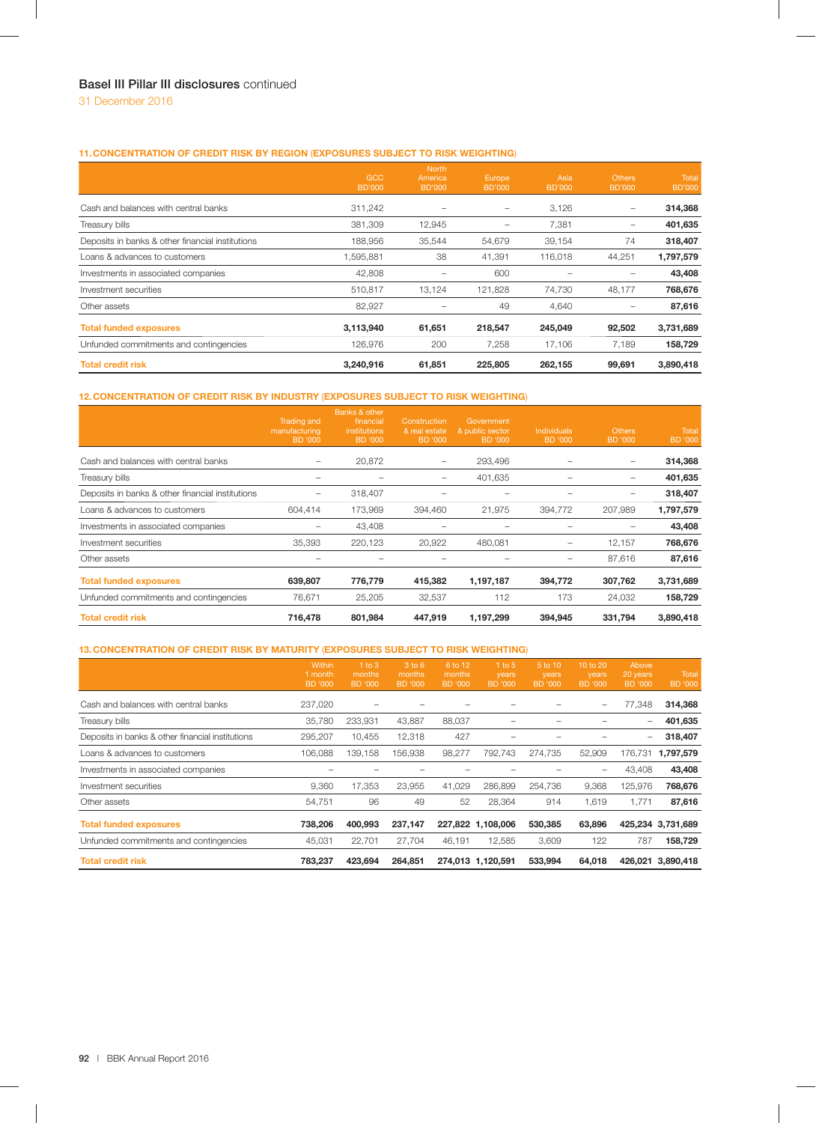# **11. CONCENTRATION OF CREDIT RISK BY REGION** (**EXPOSURES SUBJECT TO RISK WEIGHTING**)

|                                                  | <b>GCC</b><br><b>BD'000</b> | <b>North</b><br>America<br><b>BD'000</b> | Europe<br><b>BD'000</b>  | Asia<br><b>BD'000</b> | Others<br><b>BD'000</b> | Total<br><b>BD'000</b> |
|--------------------------------------------------|-----------------------------|------------------------------------------|--------------------------|-----------------------|-------------------------|------------------------|
| Cash and balances with central banks             | 311,242                     |                                          | $\overline{\phantom{0}}$ | 3,126                 | $\qquad \qquad$         | 314,368                |
| Treasury bills                                   | 381,309                     | 12,945                                   | -                        | 7,381                 | $\qquad \qquad -$       | 401,635                |
| Deposits in banks & other financial institutions | 188,956                     | 35,544                                   | 54,679                   | 39,154                | 74                      | 318,407                |
| Loans & advances to customers                    | ,595,881                    | 38                                       | 41,391                   | 116,018               | 44,251                  | 1,797,579              |
| Investments in associated companies              | 42,808                      |                                          | 600                      |                       | $\qquad \qquad$         | 43,408                 |
| Investment securities                            | 510.817                     | 13.124                                   | 121,828                  | 74,730                | 48,177                  | 768,676                |
| Other assets                                     | 82,927                      |                                          | 49                       | 4,640                 |                         | 87,616                 |
| <b>Total funded exposures</b>                    | 3,113,940                   | 61,651                                   | 218,547                  | 245,049               | 92,502                  | 3,731,689              |
| Unfunded commitments and contingencies           | 126,976                     | 200                                      | 7,258                    | 17,106                | 7,189                   | 158,729                |
| <b>Total credit risk</b>                         | 3,240,916                   | 61,851                                   | 225,805                  | 262,155               | 99.691                  | 3,890,418              |

# **12. CONCENTRATION OF CREDIT RISK BY INDUSTRY** (**EXPOSURES SUBJECT TO RISK WEIGHTING**)

|                                                  | <b>Trading and</b><br>manufacturing<br>BD '000 | Banks & other<br>financial<br><i>institutions</i><br>BD '000 | Construction<br>& real estate<br>BD '000 | Government<br>& public sector<br>BD '000 | <b>Individuals</b><br>BD '000 | <b>Others</b><br><b>BD '000</b> | <b>Total</b><br><b>BD</b> '000 |
|--------------------------------------------------|------------------------------------------------|--------------------------------------------------------------|------------------------------------------|------------------------------------------|-------------------------------|---------------------------------|--------------------------------|
| Cash and balances with central banks             |                                                | 20,872                                                       | -                                        | 293,496                                  |                               | $\qquad \qquad -$               | 314,368                        |
| Treasury bills                                   |                                                |                                                              |                                          | 401,635                                  |                               |                                 | 401,635                        |
| Deposits in banks & other financial institutions |                                                | 318,407                                                      |                                          |                                          |                               |                                 | 318,407                        |
| Loans & advances to customers                    | 604,414                                        | 173,969                                                      | 394,460                                  | 21,975                                   | 394,772                       | 207,989                         | 1,797,579                      |
| Investments in associated companies              |                                                | 43,408                                                       |                                          |                                          |                               |                                 | 43,408                         |
| Investment securities                            | 35,393                                         | 220,123                                                      | 20,922                                   | 480,081                                  |                               | 12,157                          | 768,676                        |
| Other assets                                     |                                                |                                                              |                                          |                                          |                               | 87,616                          | 87,616                         |
| <b>Total funded exposures</b>                    | 639,807                                        | 776,779                                                      | 415,382                                  | 1,197,187                                | 394,772                       | 307,762                         | 3,731,689                      |
| Unfunded commitments and contingencies           | 76,671                                         | 25,205                                                       | 32,537                                   | 112                                      | 173                           | 24,032                          | 158,729                        |
| <b>Total credit risk</b>                         | 716,478                                        | 801,984                                                      | 447,919                                  | 1,197,299                                | 394.945                       | 331,794                         | 3,890,418                      |

# **13. CONCENTRATION OF CREDIT RISK BY MATURITY** (**EXPOSURES SUBJECT TO RISK WEIGHTING**)

|                                                  | Within<br>1 month<br>BD '000 | $1$ to $3$<br>months<br><b>BD '000</b> | 3 to 6<br>months<br>BD '000 | 6 to 12<br>months<br><b>BD</b> '000 | $1$ to 5<br>years<br>BD '000 | 5 to 10<br>years<br>BD '000 | 10 to 20<br>years<br>BD '000 | Above<br>20 years<br>BD '000 | Total<br><b>BD</b> '000 |
|--------------------------------------------------|------------------------------|----------------------------------------|-----------------------------|-------------------------------------|------------------------------|-----------------------------|------------------------------|------------------------------|-------------------------|
| Cash and balances with central banks             | 237,020                      |                                        |                             |                                     |                              |                             | $\qquad \qquad -$            | 77,348                       | 314,368                 |
| Treasury bills                                   | 35.780                       | 233,931                                | 43,887                      | 88,037                              |                              |                             |                              | -                            | 401,635                 |
| Deposits in banks & other financial institutions | 295,207                      | 10,455                                 | 12,318                      | 427                                 |                              |                             |                              | -                            | 318,407                 |
| Loans & advances to customers                    | 106,088                      | 139.158                                | 156.938                     | 98,277                              | 792,743                      | 274,735                     | 52,909                       | 176.731                      | 1,797,579               |
| Investments in associated companies              |                              |                                        |                             |                                     |                              |                             |                              | 43,408                       | 43,408                  |
| Investment securities                            | 9,360                        | 17,353                                 | 23,955                      | 41,029                              | 286,899                      | 254,736                     | 9,368                        | 125,976                      | 768,676                 |
| Other assets                                     | 54,751                       | 96                                     | 49                          | 52                                  | 28,364                       | 914                         | 1,619                        | 1,771                        | 87,616                  |
| <b>Total funded exposures</b>                    | 738.206                      | 400,993                                | 237,147                     |                                     | 227,822 1,108,006            | 530,385                     | 63,896                       |                              | 425,234 3,731,689       |
| Unfunded commitments and contingencies           | 45,031                       | 22,701                                 | 27,704                      | 46,191                              | 12,585                       | 3,609                       | 122                          | 787                          | 158,729                 |
| <b>Total credit risk</b>                         | 783.237                      | 423.694                                | 264.851                     |                                     | 274,013 1,120,591            | 533,994                     | 64.018                       |                              | 426.021 3.890.418       |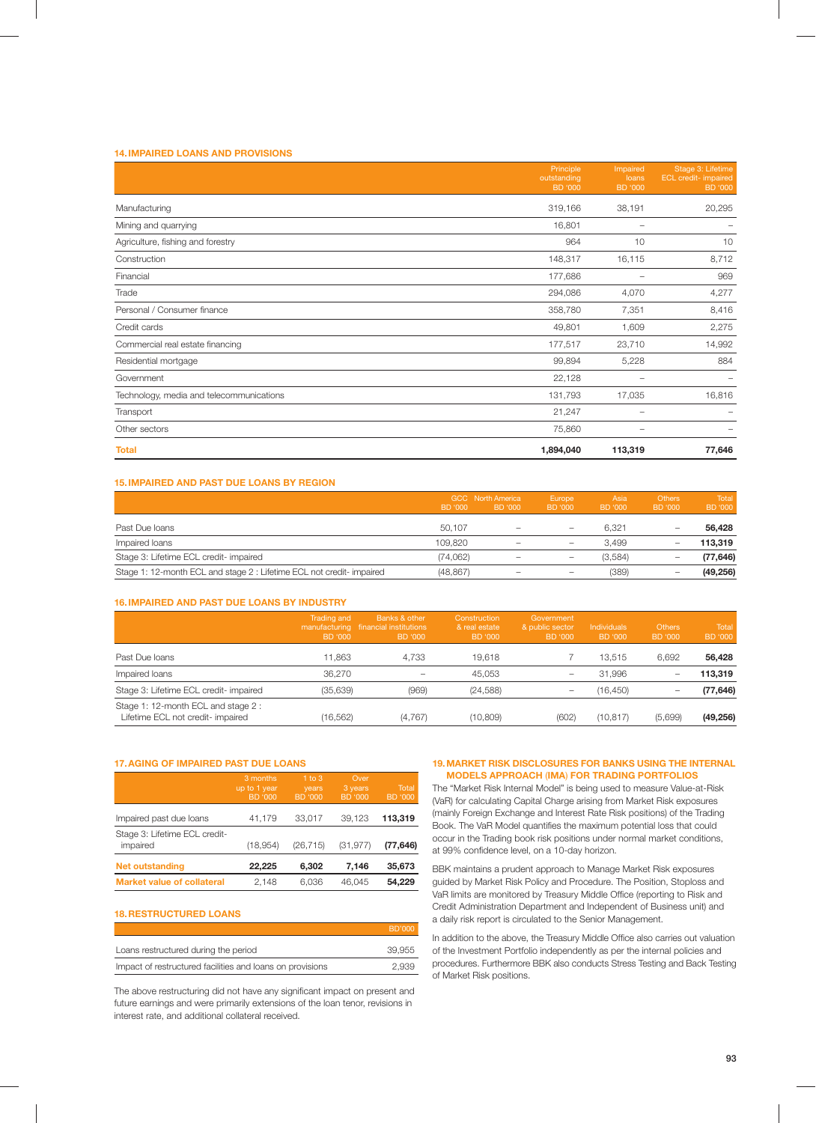# **14. IMPAIRED LOANS AND PROVISIONS**

|                                          | Principle<br>outstanding<br><b>BD</b> '000 | Impaired<br>loans<br><b>BD</b> '000 | Stage 3: Lifetime<br><b>ECL</b> credit- impaired<br><b>BD</b> '000 |
|------------------------------------------|--------------------------------------------|-------------------------------------|--------------------------------------------------------------------|
| Manufacturing                            | 319,166                                    | 38,191                              | 20,295                                                             |
| Mining and quarrying                     | 16,801                                     | $\overline{\phantom{0}}$            |                                                                    |
| Agriculture, fishing and forestry        | 964                                        | 10                                  | 10                                                                 |
| Construction                             | 148,317                                    | 16,115                              | 8,712                                                              |
| Financial                                | 177,686                                    | -                                   | 969                                                                |
| Trade                                    | 294,086                                    | 4,070                               | 4,277                                                              |
| Personal / Consumer finance              | 358,780                                    | 7,351                               | 8,416                                                              |
| Credit cards                             | 49,801                                     | 1,609                               | 2,275                                                              |
| Commercial real estate financing         | 177,517                                    | 23,710                              | 14,992                                                             |
| Residential mortgage                     | 99,894                                     | 5,228                               | 884                                                                |
| Government                               | 22,128                                     |                                     |                                                                    |
| Technology, media and telecommunications | 131,793                                    | 17,035                              | 16,816                                                             |
| Transport                                | 21,247                                     | -                                   |                                                                    |
| Other sectors                            | 75,860                                     | $\qquad \qquad$                     |                                                                    |
| <b>Total</b>                             | 1,894,040                                  | 113,319                             | 77,646                                                             |

# **15. IMPAIRED AND PAST DUE LOANS BY REGION**

|                                                                      | BD '000   | <b>GCC</b> North America<br>BD '000                                       | Europe<br>BD '000        | Asia<br>BD '000 | <b>Others</b><br>BD '000 | Total<br>BD '000 |
|----------------------------------------------------------------------|-----------|---------------------------------------------------------------------------|--------------------------|-----------------|--------------------------|------------------|
| Past Due Ioans                                                       | 50.107    | $\hspace{1.0cm} \rule{1.5cm}{0.15cm} \hspace{1.0cm} \rule{1.5cm}{0.15cm}$ |                          | 6.321           | -                        | 56.428           |
| Impaired loans                                                       | 109.820   | $\overline{\phantom{0}}$                                                  | -                        | 3.499           | -                        | 113.319          |
| Stage 3: Lifetime ECL credit- impaired                               | (74.062)  | $\overline{\phantom{0}}$                                                  | $\overline{\phantom{0}}$ | (3,584)         | $\overline{\phantom{0}}$ | (77, 646)        |
| Stage 1: 12-month ECL and stage 2: Lifetime ECL not credit- impaired | (48, 867) | $\overline{\phantom{0}}$                                                  | -                        | (389)           | $\overline{\phantom{0}}$ | (49, 256)        |

## **16. IMPAIRED AND PAST DUE LOANS BY INDUSTRY**

|                                                                         | Trading and<br>BD '000 | Banks & other<br>manufacturing financial institutions<br>BD '000 | Construction<br>& real estate<br>BD '000 | Government<br>& public sector<br>BD '000 | Individuals<br>BD '000 | <b>Others</b><br>BD '000 | <b>Total</b><br>BD '000 |
|-------------------------------------------------------------------------|------------------------|------------------------------------------------------------------|------------------------------------------|------------------------------------------|------------------------|--------------------------|-------------------------|
| Past Due loans                                                          | 11.863                 | 4.733                                                            | 19.618                                   |                                          | 13.515                 | 6.692                    | 56,428                  |
| Impaired loans                                                          | 36.270                 |                                                                  | 45.053                                   |                                          | 31.996                 | -                        | 113.319                 |
| Stage 3: Lifetime ECL credit- impaired                                  | (35,639)               | (969)                                                            | (24, 588)                                | $\overline{\phantom{0}}$                 | (16, 450)              |                          | (77, 646)               |
| Stage 1: 12-month ECL and stage 2:<br>Lifetime ECL not credit- impaired | (16, 562)              | (4,767)                                                          | (10, 809)                                | (602)                                    | (10, 817)              | (5,699)                  | (49, 256)               |

## **17. AGING OF IMPAIRED PAST DUE LOANS**

|                                           | 3 months<br>up to 1 year<br><b>BD '000</b> | $1$ to $3$<br>years<br><b>BD</b> '000 | Over<br>3 years<br><b>BD</b> '000 | Total<br><b>BD '000</b> |
|-------------------------------------------|--------------------------------------------|---------------------------------------|-----------------------------------|-------------------------|
| Impaired past due loans                   | 41,179                                     | 33,017                                | 39.123                            | 113,319                 |
| Stage 3: Lifetime ECL credit-<br>impaired | (18,954)                                   | (26, 715)                             | (31, 977)                         | (77, 646)               |
| <b>Net outstanding</b>                    | 22,225                                     | 6.302                                 | 7.146                             | 35,673                  |
| <b>Market value of collateral</b>         | 2.148                                      | 6,036                                 | 46.045                            | 54.229                  |

## **18. RESTRUCTURED LOANS**

|                                                           | BD'000 |
|-----------------------------------------------------------|--------|
| Loans restructured during the period                      | 39.955 |
| Impact of restructured facilities and loans on provisions | 2.939  |

The above restructuring did not have any significant impact on present and future earnings and were primarily extensions of the loan tenor, revisions in interest rate, and additional collateral received.

#### **19. MARKET RISK DISCLOSURES FOR BANKS USING THE INTERNAL MODELS APPROACH** (**IMA**) **FOR TRADING PORTFOLIOS**

The "Market Risk Internal Model" is being used to measure Value-at-Risk (VaR) for calculating Capital Charge arising from Market Risk exposures (mainly Foreign Exchange and Interest Rate Risk positions) of the Trading Book. The VaR Model quantifies the maximum potential loss that could occur in the Trading book risk positions under normal market conditions, at 99% confidence level, on a 10-day horizon.

BBK maintains a prudent approach to Manage Market Risk exposures guided by Market Risk Policy and Procedure. The Position, Stoploss and VaR limits are monitored by Treasury Middle Office (reporting to Risk and Credit Administration Department and Independent of Business unit) and a daily risk report is circulated to the Senior Management.

In addition to the above, the Treasury Middle Office also carries out valuation of the Investment Portfolio independently as per the internal policies and procedures. Furthermore BBK also conducts Stress Testing and Back Testing of Market Risk positions.